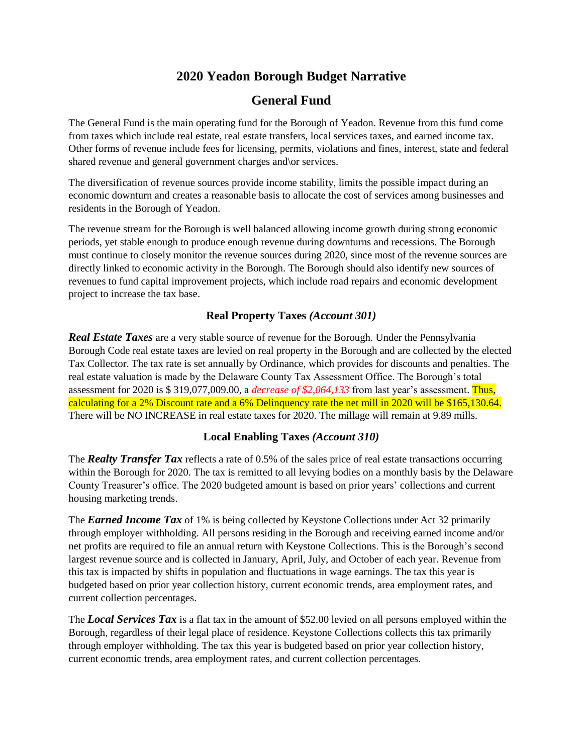# **2020 Yeadon Borough Budget Narrative**

# **General Fund**

The General Fund is the main operating fund for the Borough of Yeadon. Revenue from this fund come from taxes which include real estate, real estate transfers, local services taxes, and earned income tax. Other forms of revenue include fees for licensing, permits, violations and fines, interest, state and federal shared revenue and general government charges and\or services.

The diversification of revenue sources provide income stability, limits the possible impact during an economic downturn and creates a reasonable basis to allocate the cost of services among businesses and residents in the Borough of Yeadon.

The revenue stream for the Borough is well balanced allowing income growth during strong economic periods, yet stable enough to produce enough revenue during downturns and recessions. The Borough must continue to closely monitor the revenue sources during 2020, since most of the revenue sources are directly linked to economic activity in the Borough. The Borough should also identify new sources of revenues to fund capital improvement projects, which include road repairs and economic development project to increase the tax base.

### **Real Property Taxes** *(Account 301)*

*Real Estate Taxes* are a very stable source of revenue for the Borough. Under the Pennsylvania Borough Code real estate taxes are levied on real property in the Borough and are collected by the elected Tax Collector. The tax rate is set annually by Ordinance, which provides for discounts and penalties. The real estate valuation is made by the Delaware County Tax Assessment Office. The Borough's total assessment for 2020 is \$ 319,077,009.00, a *decrease of \$2,064,133* from last year's assessment. Thus, calculating for a 2% Discount rate and a 6% Delinquency rate the net mill in 2020 will be \$165,130.64. There will be NO INCREASE in real estate taxes for 2020. The millage will remain at 9.89 mills.

### **Local Enabling Taxes** *(Account 310)*

The *Realty Transfer Tax* reflects a rate of 0.5% of the sales price of real estate transactions occurring within the Borough for 2020. The tax is remitted to all levying bodies on a monthly basis by the Delaware County Treasurer's office. The 2020 budgeted amount is based on prior years' collections and current housing marketing trends.

The *Earned Income Tax* of 1% is being collected by Keystone Collections under Act 32 primarily through employer withholding. All persons residing in the Borough and receiving earned income and/or net profits are required to file an annual return with Keystone Collections. This is the Borough's second largest revenue source and is collected in January, April, July, and October of each year. Revenue from this tax is impacted by shifts in population and fluctuations in wage earnings. The tax this year is budgeted based on prior year collection history, current economic trends, area employment rates, and current collection percentages.

The *Local Services Tax* is a flat tax in the amount of \$52.00 levied on all persons employed within the Borough, regardless of their legal place of residence. Keystone Collections collects this tax primarily through employer withholding. The tax this year is budgeted based on prior year collection history, current economic trends, area employment rates, and current collection percentages.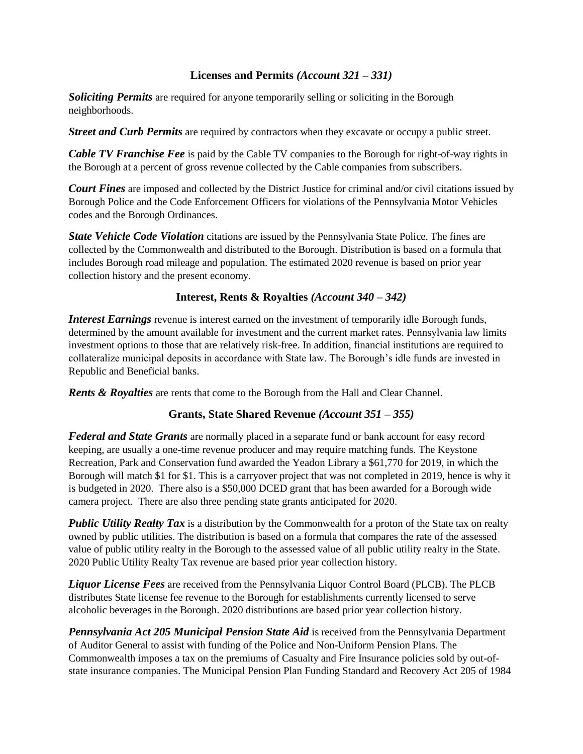### **Licenses and Permits** *(Account 321 – 331)*

*Soliciting Permits* are required for anyone temporarily selling or soliciting in the Borough neighborhoods.

*Street and Curb Permits* are required by contractors when they excavate or occupy a public street.

*Cable TV Franchise Fee* is paid by the Cable TV companies to the Borough for right-of-way rights in the Borough at a percent of gross revenue collected by the Cable companies from subscribers.

*Court Fines* are imposed and collected by the District Justice for criminal and/or civil citations issued by Borough Police and the Code Enforcement Officers for violations of the Pennsylvania Motor Vehicles codes and the Borough Ordinances.

*State Vehicle Code Violation* citations are issued by the Pennsylvania State Police. The fines are collected by the Commonwealth and distributed to the Borough. Distribution is based on a formula that includes Borough road mileage and population. The estimated 2020 revenue is based on prior year collection history and the present economy.

### **Interest, Rents & Royalties** *(Account 340 – 342)*

*Interest Earnings* revenue is interest earned on the investment of temporarily idle Borough funds, determined by the amount available for investment and the current market rates. Pennsylvania law limits investment options to those that are relatively risk-free. In addition, financial institutions are required to collateralize municipal deposits in accordance with State law. The Borough's idle funds are invested in Republic and Beneficial banks.

*Rents & Royalties* are rents that come to the Borough from the Hall and Clear Channel.

#### **Grants, State Shared Revenue** *(Account 351 – 355)*

*Federal and State Grants* are normally placed in a separate fund or bank account for easy record keeping, are usually a one-time revenue producer and may require matching funds. The Keystone Recreation, Park and Conservation fund awarded the Yeadon Library a \$61,770 for 2019, in which the Borough will match \$1 for \$1. This is a carryover project that was not completed in 2019, hence is why it is budgeted in 2020. There also is a \$50,000 DCED grant that has been awarded for a Borough wide camera project. There are also three pending state grants anticipated for 2020.

*Public Utility Realty Tax* is a distribution by the Commonwealth for a proton of the State tax on realty owned by public utilities. The distribution is based on a formula that compares the rate of the assessed value of public utility realty in the Borough to the assessed value of all public utility realty in the State. 2020 Public Utility Realty Tax revenue are based prior year collection history.

*Liquor License Fees* are received from the Pennsylvania Liquor Control Board (PLCB). The PLCB distributes State license fee revenue to the Borough for establishments currently licensed to serve alcoholic beverages in the Borough. 2020 distributions are based prior year collection history.

*Pennsylvania Act 205 Municipal Pension State Aid* is received from the Pennsylvania Department of Auditor General to assist with funding of the Police and Non-Uniform Pension Plans. The Commonwealth imposes a tax on the premiums of Casualty and Fire Insurance policies sold by out-ofstate insurance companies. The Municipal Pension Plan Funding Standard and Recovery Act 205 of 1984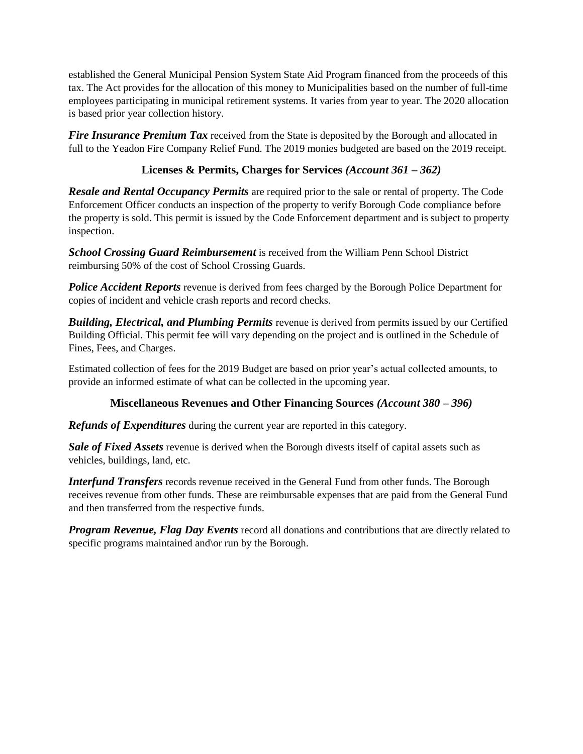established the General Municipal Pension System State Aid Program financed from the proceeds of this tax. The Act provides for the allocation of this money to Municipalities based on the number of full-time employees participating in municipal retirement systems. It varies from year to year. The 2020 allocation is based prior year collection history.

*Fire Insurance Premium Tax* received from the State is deposited by the Borough and allocated in full to the Yeadon Fire Company Relief Fund. The 2019 monies budgeted are based on the 2019 receipt.

# **Licenses & Permits, Charges for Services** *(Account 361 – 362)*

*Resale and Rental Occupancy Permits* are required prior to the sale or rental of property. The Code Enforcement Officer conducts an inspection of the property to verify Borough Code compliance before the property is sold. This permit is issued by the Code Enforcement department and is subject to property inspection.

*School Crossing Guard Reimbursement* is received from the William Penn School District reimbursing 50% of the cost of School Crossing Guards.

**Police Accident Reports** revenue is derived from fees charged by the Borough Police Department for copies of incident and vehicle crash reports and record checks.

*Building, Electrical, and Plumbing Permits* revenue is derived from permits issued by our Certified Building Official. This permit fee will vary depending on the project and is outlined in the Schedule of Fines, Fees, and Charges.

Estimated collection of fees for the 2019 Budget are based on prior year's actual collected amounts, to provide an informed estimate of what can be collected in the upcoming year.

# **Miscellaneous Revenues and Other Financing Sources** *(Account 380 – 396)*

*Refunds of Expenditures* during the current year are reported in this category.

*Sale of Fixed Assets* revenue is derived when the Borough divests itself of capital assets such as vehicles, buildings, land, etc.

*Interfund Transfers* records revenue received in the General Fund from other funds. The Borough receives revenue from other funds. These are reimbursable expenses that are paid from the General Fund and then transferred from the respective funds.

*Program Revenue, Flag Day Events* record all donations and contributions that are directly related to specific programs maintained and or run by the Borough.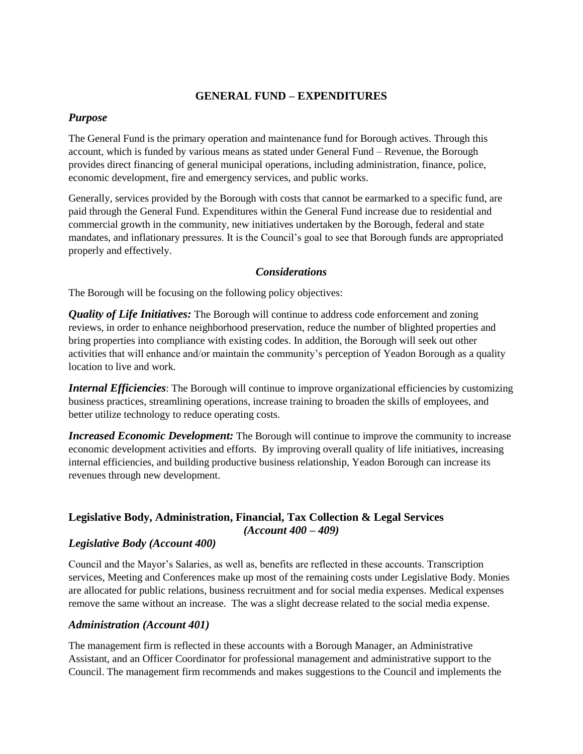#### **GENERAL FUND – EXPENDITURES**

#### *Purpose*

The General Fund is the primary operation and maintenance fund for Borough actives. Through this account, which is funded by various means as stated under General Fund – Revenue, the Borough provides direct financing of general municipal operations, including administration, finance, police, economic development, fire and emergency services, and public works.

Generally, services provided by the Borough with costs that cannot be earmarked to a specific fund, are paid through the General Fund. Expenditures within the General Fund increase due to residential and commercial growth in the community, new initiatives undertaken by the Borough, federal and state mandates, and inflationary pressures. It is the Council's goal to see that Borough funds are appropriated properly and effectively.

#### *Considerations*

The Borough will be focusing on the following policy objectives:

*Quality of Life Initiatives:* The Borough will continue to address code enforcement and zoning reviews, in order to enhance neighborhood preservation, reduce the number of blighted properties and bring properties into compliance with existing codes. In addition, the Borough will seek out other activities that will enhance and/or maintain the community's perception of Yeadon Borough as a quality location to live and work.

*Internal Efficiencies*: The Borough will continue to improve organizational efficiencies by customizing business practices, streamlining operations, increase training to broaden the skills of employees, and better utilize technology to reduce operating costs.

*Increased Economic Development:* The Borough will continue to improve the community to increase economic development activities and efforts. By improving overall quality of life initiatives, increasing internal efficiencies, and building productive business relationship, Yeadon Borough can increase its revenues through new development.

#### **Legislative Body, Administration, Financial, Tax Collection & Legal Services**  *(Account 400 – 409)*

#### *Legislative Body (Account 400)*

Council and the Mayor's Salaries, as well as, benefits are reflected in these accounts. Transcription services, Meeting and Conferences make up most of the remaining costs under Legislative Body. Monies are allocated for public relations, business recruitment and for social media expenses. Medical expenses remove the same without an increase. The was a slight decrease related to the social media expense.

#### *Administration (Account 401)*

The management firm is reflected in these accounts with a Borough Manager, an Administrative Assistant, and an Officer Coordinator for professional management and administrative support to the Council. The management firm recommends and makes suggestions to the Council and implements the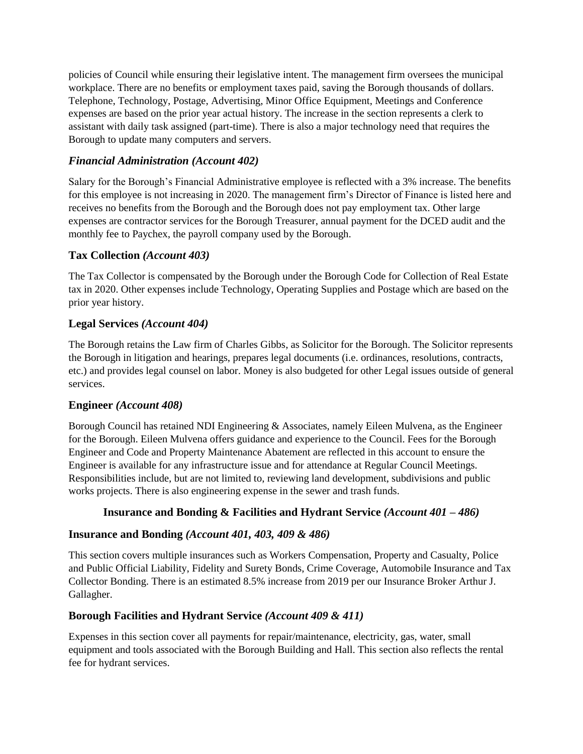policies of Council while ensuring their legislative intent. The management firm oversees the municipal workplace. There are no benefits or employment taxes paid, saving the Borough thousands of dollars. Telephone, Technology, Postage, Advertising, Minor Office Equipment, Meetings and Conference expenses are based on the prior year actual history. The increase in the section represents a clerk to assistant with daily task assigned (part-time). There is also a major technology need that requires the Borough to update many computers and servers.

### *Financial Administration (Account 402)*

Salary for the Borough's Financial Administrative employee is reflected with a 3% increase. The benefits for this employee is not increasing in 2020. The management firm's Director of Finance is listed here and receives no benefits from the Borough and the Borough does not pay employment tax. Other large expenses are contractor services for the Borough Treasurer, annual payment for the DCED audit and the monthly fee to Paychex, the payroll company used by the Borough.

### **Tax Collection** *(Account 403)*

The Tax Collector is compensated by the Borough under the Borough Code for Collection of Real Estate tax in 2020. Other expenses include Technology, Operating Supplies and Postage which are based on the prior year history.

### **Legal Services** *(Account 404)*

The Borough retains the Law firm of Charles Gibbs, as Solicitor for the Borough. The Solicitor represents the Borough in litigation and hearings, prepares legal documents (i.e. ordinances, resolutions, contracts, etc.) and provides legal counsel on labor. Money is also budgeted for other Legal issues outside of general services.

#### **Engineer** *(Account 408)*

Borough Council has retained NDI Engineering & Associates, namely Eileen Mulvena, as the Engineer for the Borough. Eileen Mulvena offers guidance and experience to the Council. Fees for the Borough Engineer and Code and Property Maintenance Abatement are reflected in this account to ensure the Engineer is available for any infrastructure issue and for attendance at Regular Council Meetings. Responsibilities include, but are not limited to, reviewing land development, subdivisions and public works projects. There is also engineering expense in the sewer and trash funds.

### **Insurance and Bonding & Facilities and Hydrant Service** *(Account 401 – 486)*

#### **Insurance and Bonding** *(Account 401, 403, 409 & 486)*

This section covers multiple insurances such as Workers Compensation, Property and Casualty, Police and Public Official Liability, Fidelity and Surety Bonds, Crime Coverage, Automobile Insurance and Tax Collector Bonding. There is an estimated 8.5% increase from 2019 per our Insurance Broker Arthur J. Gallagher.

### **Borough Facilities and Hydrant Service** *(Account 409 & 411)*

Expenses in this section cover all payments for repair/maintenance, electricity, gas, water, small equipment and tools associated with the Borough Building and Hall. This section also reflects the rental fee for hydrant services.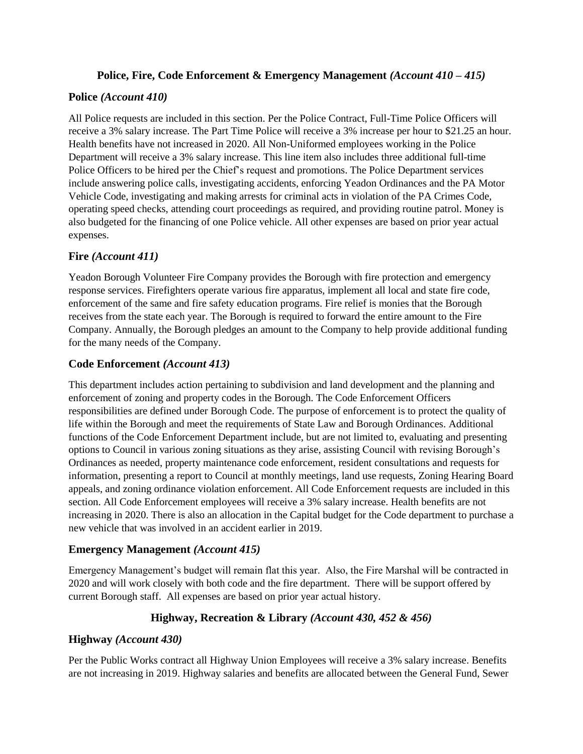### **Police, Fire, Code Enforcement & Emergency Management** *(Account 410 – 415)*

### **Police** *(Account 410)*

All Police requests are included in this section. Per the Police Contract, Full-Time Police Officers will receive a 3% salary increase. The Part Time Police will receive a 3% increase per hour to \$21.25 an hour. Health benefits have not increased in 2020. All Non-Uniformed employees working in the Police Department will receive a 3% salary increase. This line item also includes three additional full-time Police Officers to be hired per the Chief's request and promotions. The Police Department services include answering police calls, investigating accidents, enforcing Yeadon Ordinances and the PA Motor Vehicle Code, investigating and making arrests for criminal acts in violation of the PA Crimes Code, operating speed checks, attending court proceedings as required, and providing routine patrol. Money is also budgeted for the financing of one Police vehicle. All other expenses are based on prior year actual expenses.

## **Fire** *(Account 411)*

Yeadon Borough Volunteer Fire Company provides the Borough with fire protection and emergency response services. Firefighters operate various fire apparatus, implement all local and state fire code, enforcement of the same and fire safety education programs. Fire relief is monies that the Borough receives from the state each year. The Borough is required to forward the entire amount to the Fire Company. Annually, the Borough pledges an amount to the Company to help provide additional funding for the many needs of the Company.

## **Code Enforcement** *(Account 413)*

This department includes action pertaining to subdivision and land development and the planning and enforcement of zoning and property codes in the Borough. The Code Enforcement Officers responsibilities are defined under Borough Code. The purpose of enforcement is to protect the quality of life within the Borough and meet the requirements of State Law and Borough Ordinances. Additional functions of the Code Enforcement Department include, but are not limited to, evaluating and presenting options to Council in various zoning situations as they arise, assisting Council with revising Borough's Ordinances as needed, property maintenance code enforcement, resident consultations and requests for information, presenting a report to Council at monthly meetings, land use requests, Zoning Hearing Board appeals, and zoning ordinance violation enforcement. All Code Enforcement requests are included in this section. All Code Enforcement employees will receive a 3% salary increase. Health benefits are not increasing in 2020. There is also an allocation in the Capital budget for the Code department to purchase a new vehicle that was involved in an accident earlier in 2019.

### **Emergency Management** *(Account 415)*

Emergency Management's budget will remain flat this year. Also, the Fire Marshal will be contracted in 2020 and will work closely with both code and the fire department. There will be support offered by current Borough staff. All expenses are based on prior year actual history.

# **Highway, Recreation & Library** *(Account 430, 452 & 456)*

### **Highway** *(Account 430)*

Per the Public Works contract all Highway Union Employees will receive a 3% salary increase. Benefits are not increasing in 2019. Highway salaries and benefits are allocated between the General Fund, Sewer